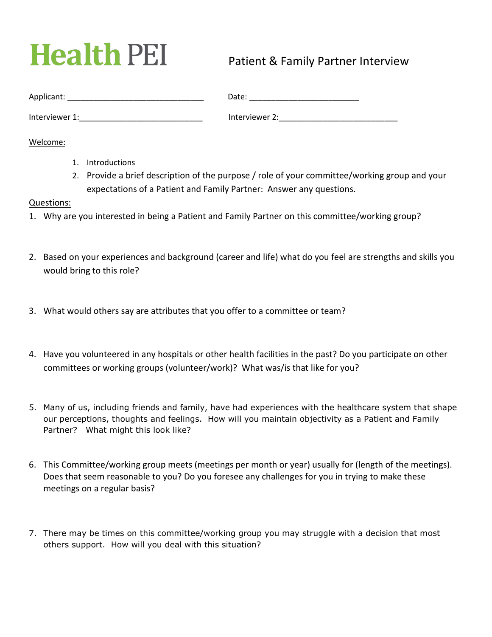## **Health PEI**

## Patient & Family Partner Interview

| Applicant:     | Date:          |
|----------------|----------------|
| Interviewer 1: | Interviewer 2: |

Welcome:

- 1. Introductions
- 2. Provide a brief description of the purpose / role of your committee/working group and your expectations of a Patient and Family Partner: Answer any questions.

## Questions:

- 1. Why are you interested in being a Patient and Family Partner on this committee/working group?
- 2. Based on your experiences and background (career and life) what do you feel are strengths and skills you would bring to this role?
- 3. What would others say are attributes that you offer to a committee or team?
- 4. Have you volunteered in any hospitals or other health facilities in the past? Do you participate on other committees or working groups (volunteer/work)? What was/is that like for you?
- 5. Many of us, including friends and family, have had experiences with the healthcare system that shape our perceptions, thoughts and feelings. How will you maintain objectivity as a Patient and Family Partner? What might this look like?
- 6. This Committee/working group meets (meetings per month or year) usually for (length of the meetings). Does that seem reasonable to you? Do you foresee any challenges for you in trying to make these meetings on a regular basis?
- 7. There may be times on this committee/working group you may struggle with a decision that most others support. How will you deal with this situation?